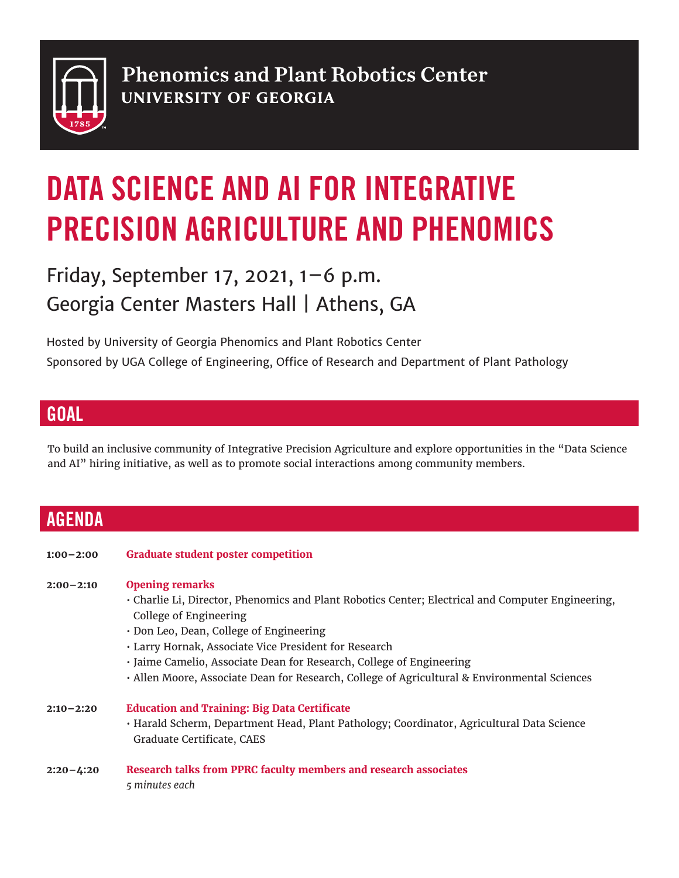

**Phenomics and Plant Robotics Center UNIVERSITY OF GEORGIA** 

# DATA SCIENCE AND AI FOR INTEGRATIVE PRECISION AGRICULTURE AND PHENOMICS

## Friday, September 17, 2021,  $1-6$  p.m. Georgia Center Masters Hall | Athens, GA

Hosted by University of Georgia Phenomics and Plant Robotics Center Sponsored by UGA College of Engineering, Office of Research and Department of Plant Pathology

#### **GOAL**

To build an inclusive community of Integrative Precision Agriculture and explore opportunities in the "Data Science and AI" hiring initiative, as well as to promote social interactions among community members.

### AGENDA

**1:00–2:00 Graduate student poster competition**

#### **2:00–2:10 Opening remarks**

- Charlie Li, Director, Phenomics and Plant Robotics Center; Electrical and Computer Engineering, College of Engineering
- Don Leo, Dean, College of Engineering
- Larry Hornak, Associate Vice President for Research
- Jaime Camelio, Associate Dean for Research, College of Engineering
- Allen Moore, Associate Dean for Research, College of Agricultural & Environmental Sciences
- **2:10–2:20 Education and Training: Big Data Certificate** • Harald Scherm, Department Head, Plant Pathology; Coordinator, Agricultural Data Science Graduate Certificate, CAES
- **2:20–4:20 Research talks from PPRC faculty members and research associates**  *5 minutes each*